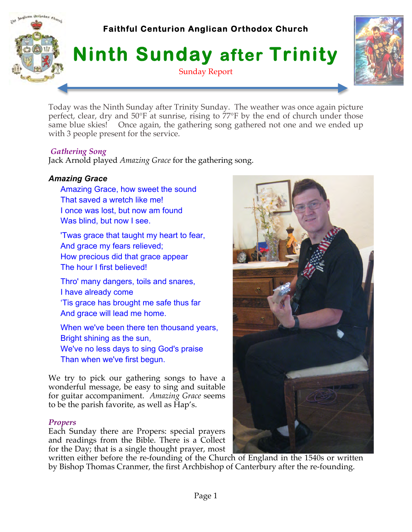

Today was the Ninth Sunday after Trinity Sunday. The weather was once again picture perfect, clear, dry and 50°F at sunrise, rising to 77°F by the end of church under those same blue skies! Once again, the gathering song gathered not one and we ended up with 3 people present for the service.

### *Gathering Song*

Jack Arnold played *Amazing Grace* for the gathering song.

# *Amazing Grace*

- Amazing Grace, how sweet the sound That saved a wretch like me! I once was lost, but now am found Was blind, but now I see.
- 'Twas grace that taught my heart to fear, And grace my fears relieved; How precious did that grace appear The hour I first believed!
- Thro' many dangers, toils and snares, I have already come 'Tis grace has brought me safe thus far And grace will lead me home.
- When we've been there ten thousand years, Bright shining as the sun, We've no less days to sing God's praise Than when we've first begun.

We try to pick our gathering songs to have a wonderful message, be easy to sing and suitable for guitar accompaniment. *Amazing Grace* seems to be the parish favorite, as well as Hap's.

### *Propers*

Each Sunday there are Propers: special prayers and readings from the Bible. There is a Collect for the Day; that is a single thought prayer, most

written either before the re-founding of the Church of England in the 1540s or written by Bishop Thomas Cranmer, the first Archbishop of Canterbury after the re-founding.

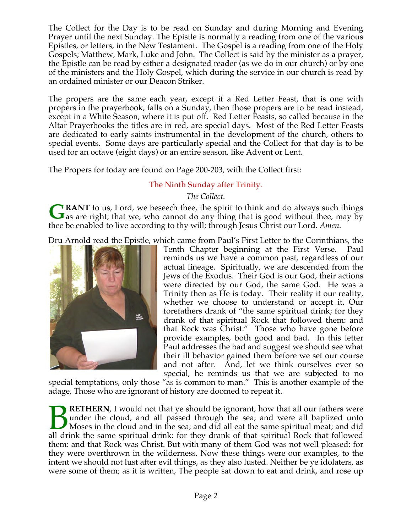The Collect for the Day is to be read on Sunday and during Morning and Evening Prayer until the next Sunday. The Epistle is normally a reading from one of the various Epistles, or letters, in the New Testament. The Gospel is a reading from one of the Holy Gospels; Matthew, Mark, Luke and John. The Collect is said by the minister as a prayer, the Epistle can be read by either a designated reader (as we do in our church) or by one of the ministers and the Holy Gospel, which during the service in our church is read by an ordained minister or our Deacon Striker.

The propers are the same each year, except if a Red Letter Feast, that is one with propers in the prayerbook, falls on a Sunday, then those propers are to be read instead, except in a White Season, where it is put off. Red Letter Feasts, so called because in the Altar Prayerbooks the titles are in red, are special days. Most of the Red Letter Feasts are dedicated to early saints instrumental in the development of the church, others to special events. Some days are particularly special and the Collect for that day is to be used for an octave (eight days) or an entire season, like Advent or Lent.

The Propers for today are found on Page 200-203, with the Collect first:

# The Ninth Sunday after Trinity.

*The Collect.*

**RANT** to us, Lord, we beseech thee, the spirit to think and do always such things GRANT to us, Lord, we beseech thee, the spirit to think and do always such things as are right; that we, who cannot do any thing that is good without thee, may by thee be enabled to live according to thy will; through Jesus Christ our Lord. *Amen.*

Dru Arnold read the Epistle, which came from Paul's First Letter to the Corinthians, the



Tenth Chapter beginning at the First Verse. Paul reminds us we have a common past, regardless of our actual lineage. Spiritually, we are descended from the Jews of the Exodus. Their God is our God, their actions were directed by our God, the same God. He was a Trinity then as He is today. Their reality it our reality, whether we choose to understand or accept it. Our forefathers drank of "the same spiritual drink; for they drank of that spiritual Rock that followed them: and that Rock was Christ." Those who have gone before provide examples, both good and bad. In this letter Paul addresses the bad and suggest we should see what their ill behavior gained them before we set our course and not after. And, let we think ourselves ever so special, he reminds us that we are subjected to no

special temptations, only those "as is common to man." This is another example of the adage, Those who are ignorant of history are doomed to repeat it.

**RETHERN**, I would not that ye should be ignorant, how that all our fathers were under the cloud, and all passed through the sea; and were all baptized unto Moses in the cloud and in the sea; and did all eat the same spiritual meat; and did **BURETHERN**, I would not that ye should be ignorant, how that all our fathers were under the cloud, and all passed through the sea; and were all baptized unto Moses in the cloud and in the sea; and did all eat the same spi them: and that Rock was Christ. But with many of them God was not well pleased: for they were overthrown in the wilderness. Now these things were our examples, to the intent we should not lust after evil things, as they also lusted. Neither be ye idolaters, as were some of them; as it is written, The people sat down to eat and drink, and rose up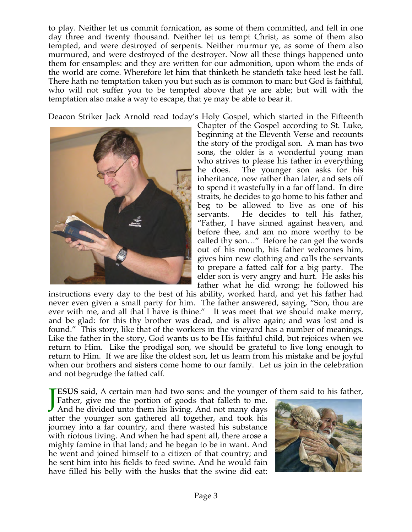to play. Neither let us commit fornication, as some of them committed, and fell in one day three and twenty thousand. Neither let us tempt Christ, as some of them also tempted, and were destroyed of serpents. Neither murmur ye, as some of them also murmured, and were destroyed of the destroyer. Now all these things happened unto them for ensamples: and they are written for our admonition, upon whom the ends of the world are come. Wherefore let him that thinketh he standeth take heed lest he fall. There hath no temptation taken you but such as is common to man: but God is faithful, who will not suffer you to be tempted above that ye are able; but will with the temptation also make a way to escape, that ye may be able to bear it.

Deacon Striker Jack Arnold read today's Holy Gospel, which started in the Fifteenth



Chapter of the Gospel according to St. Luke, beginning at the Eleventh Verse and recounts the story of the prodigal son. A man has two sons, the older is a wonderful young man who strives to please his father in everything he does. The younger son asks for his inheritance, now rather than later, and sets off to spend it wastefully in a far off land. In dire straits, he decides to go home to his father and beg to be allowed to live as one of his servants. He decides to tell his father, "Father, I have sinned against heaven, and before thee, and am no more worthy to be called thy son…" Before he can get the words out of his mouth, his father welcomes him, gives him new clothing and calls the servants to prepare a fatted calf for a big party. The elder son is very angry and hurt. He asks his father what he did wrong; he followed his

instructions every day to the best of his ability, worked hard, and yet his father had never even given a small party for him. The father answered, saying, "Son, thou are ever with me, and all that I have is thine." It was meet that we should make merry, and be glad: for this thy brother was dead, and is alive again; and was lost and is found." This story, like that of the workers in the vineyard has a number of meanings. Like the father in the story, God wants us to be His faithful child, but rejoices when we return to Him. Like the prodigal son, we should be grateful to live long enough to return to Him. If we are like the oldest son, let us learn from his mistake and be joyful when our brothers and sisters come home to our family. Let us join in the celebration and not begrudge the fatted calf.

**ESUS** said, A certain man had two sons: and the younger of them said to his father, Father, give me the portion of goods that falleth to me.<br>And he divided unto them his living. And not many days Father, give me the portion of goods that falleth to me. And he divided unto them his living. And not many days after the younger son gathered all together, and took his journey into a far country, and there wasted his substance with riotous living. And when he had spent all, there arose a mighty famine in that land; and he began to be in want. And he went and joined himself to a citizen of that country; and he sent him into his fields to feed swine. And he would fain have filled his belly with the husks that the swine did eat:

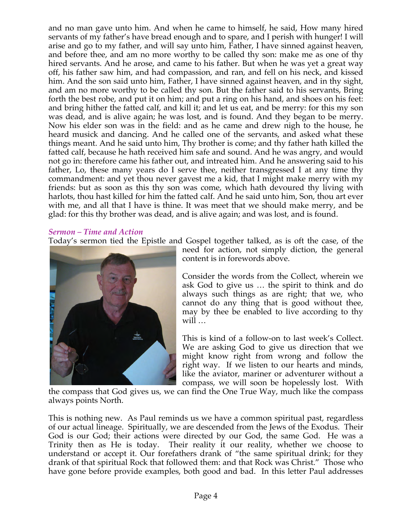and no man gave unto him. And when he came to himself, he said, How many hired servants of my father's have bread enough and to spare, and I perish with hunger! I will arise and go to my father, and will say unto him, Father, I have sinned against heaven, and before thee, and am no more worthy to be called thy son: make me as one of thy hired servants. And he arose, and came to his father. But when he was yet a great way off, his father saw him, and had compassion, and ran, and fell on his neck, and kissed him. And the son said unto him, Father, I have sinned against heaven, and in thy sight, and am no more worthy to be called thy son. But the father said to his servants, Bring forth the best robe, and put it on him; and put a ring on his hand, and shoes on his feet: and bring hither the fatted calf, and kill it; and let us eat, and be merry: for this my son was dead, and is alive again; he was lost, and is found. And they began to be merry. Now his elder son was in the field: and as he came and drew nigh to the house, he heard musick and dancing. And he called one of the servants, and asked what these things meant. And he said unto him, Thy brother is come; and thy father hath killed the fatted calf, because he hath received him safe and sound. And he was angry, and would not go in: therefore came his father out, and intreated him. And he answering said to his father, Lo, these many years do I serve thee, neither transgressed I at any time thy commandment: and yet thou never gavest me a kid, that I might make merry with my friends: but as soon as this thy son was come, which hath devoured thy living with harlots, thou hast killed for him the fatted calf. And he said unto him, Son, thou art ever with me, and all that I have is thine. It was meet that we should make merry, and be glad: for this thy brother was dead, and is alive again; and was lost, and is found.

### *Sermon – Time and Action*

Today's sermon tied the Epistle and Gospel together talked, as is oft the case, of the



need for action, not simply diction, the general content is in forewords above.

Consider the words from the Collect, wherein we ask God to give us … the spirit to think and do always such things as are right; that we, who cannot do any thing that is good without thee, may by thee be enabled to live according to thy will …

This is kind of a follow-on to last week's Collect. We are asking God to give us direction that we might know right from wrong and follow the right way. If we listen to our hearts and minds, like the aviator, mariner or adventurer without a compass, we will soon be hopelessly lost. With

the compass that God gives us, we can find the One True Way, much like the compass always points North.

This is nothing new. As Paul reminds us we have a common spiritual past, regardless of our actual lineage. Spiritually, we are descended from the Jews of the Exodus. Their God is our God; their actions were directed by our God, the same God. He was a Trinity then as He is today. Their reality it our reality, whether we choose to understand or accept it. Our forefathers drank of "the same spiritual drink; for they drank of that spiritual Rock that followed them: and that Rock was Christ." Those who have gone before provide examples, both good and bad. In this letter Paul addresses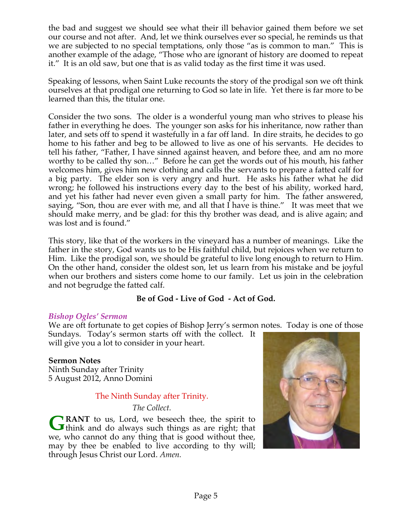the bad and suggest we should see what their ill behavior gained them before we set our course and not after. And, let we think ourselves ever so special, he reminds us that we are subjected to no special temptations, only those "as is common to man." This is another example of the adage, "Those who are ignorant of history are doomed to repeat it." It is an old saw, but one that is as valid today as the first time it was used.

Speaking of lessons, when Saint Luke recounts the story of the prodigal son we oft think ourselves at that prodigal one returning to God so late in life. Yet there is far more to be learned than this, the titular one.

Consider the two sons. The older is a wonderful young man who strives to please his father in everything he does. The younger son asks for his inheritance, now rather than later, and sets off to spend it wastefully in a far off land. In dire straits, he decides to go home to his father and beg to be allowed to live as one of his servants. He decides to tell his father, "Father, I have sinned against heaven, and before thee, and am no more worthy to be called thy son…" Before he can get the words out of his mouth, his father welcomes him, gives him new clothing and calls the servants to prepare a fatted calf for a big party. The elder son is very angry and hurt. He asks his father what he did wrong; he followed his instructions every day to the best of his ability, worked hard, and yet his father had never even given a small party for him. The father answered, saying, "Son, thou are ever with me, and all that I have is thine." It was meet that we should make merry, and be glad: for this thy brother was dead, and is alive again; and was lost and is found."

This story, like that of the workers in the vineyard has a number of meanings. Like the father in the story, God wants us to be His faithful child, but rejoices when we return to Him. Like the prodigal son, we should be grateful to live long enough to return to Him. On the other hand, consider the oldest son, let us learn from his mistake and be joyful when our brothers and sisters come home to our family. Let us join in the celebration and not begrudge the fatted calf.

# **Be of God - Live of God - Act of God.**

### *Bishop Ogles' Sermon*

We are oft fortunate to get copies of Bishop Jerry's sermon notes. Today is one of those

Sundays. Today's sermon starts off with the collect. It will give you a lot to consider in your heart.

### **Sermon Notes**

Ninth Sunday after Trinity 5 August 2012, Anno Domini

### The Ninth Sunday after Trinity.

#### *The Collect.*

**RANT** to us, Lord, we beseech thee, the spirit to GRANT to us, Lord, we beseech thee, the spirit to think and do always such things as are right; that we, who cannot do any thing that is good without thee, may by thee be enabled to live according to thy will; through Jesus Christ our Lord. *Amen.*

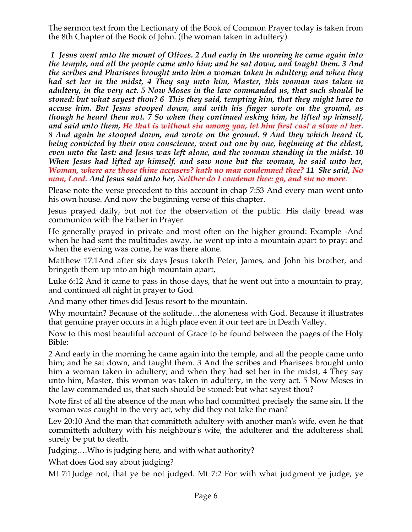The sermon text from the Lectionary of the Book of Common Prayer today is taken from the 8th Chapter of the Book of John. (the woman taken in adultery).

*1 Jesus went unto the mount of Olives. 2 And early in the morning he came again into the temple, and all the people came unto him; and he sat down, and taught them. 3 And the scribes and Pharisees brought unto him a woman taken in adultery; and when they had set her in the midst, 4 They say unto him, Master, this woman was taken in adultery, in the very act. 5 Now Moses in the law commanded us, that such should be stoned: but what sayest thou? 6 This they said, tempting him, that they might have to accuse him. But Jesus stooped down, and with his finger wrote on the ground, as though he heard them not. 7 So when they continued asking him, he lifted up himself, and said unto them, He that is without sin among you, let him first cast a stone at her. 8 And again he stooped down, and wrote on the ground. 9 And they which heard it, being convicted by their own conscience, went out one by one, beginning at the eldest, even unto the last: and Jesus was left alone, and the woman standing in the midst. 10 When Jesus had lifted up himself, and saw none but the woman, he said unto her, Woman, where are those thine accusers? hath no man condemned thee? 11 She said, No man, Lord. And Jesus said unto her, Neither do I condemn thee: go, and sin no more*.

Please note the verse precedent to this account in chap 7:53 And every man went unto his own house. And now the beginning verse of this chapter.

Jesus prayed daily, but not for the observation of the public. His daily bread was communion with the Father in Prayer.

He generally prayed in private and most often on the higher ground: Example -And when he had sent the multitudes away, he went up into a mountain apart to pray: and when the evening was come, he was there alone.

Matthew 17:1And after six days Jesus taketh Peter, James, and John his brother, and bringeth them up into an high mountain apart,

Luke 6:12 And it came to pass in those days, that he went out into a mountain to pray, and continued all night in prayer to God

And many other times did Jesus resort to the mountain.

Why mountain? Because of the solitude…the aloneness with God. Because it illustrates that genuine prayer occurs in a high place even if our feet are in Death Valley.

Now to this most beautiful account of Grace to be found between the pages of the Holy Bible:

2 And early in the morning he came again into the temple, and all the people came unto him; and he sat down, and taught them. 3 And the scribes and Pharisees brought unto him a woman taken in adultery; and when they had set her in the midst, 4 They say unto him, Master, this woman was taken in adultery, in the very act. 5 Now Moses in the law commanded us, that such should be stoned: but what sayest thou?

Note first of all the absence of the man who had committed precisely the same sin. If the woman was caught in the very act, why did they not take the man?

Lev 20:10 And the man that committeth adultery with another man's wife, even he that committeth adultery with his neighbour's wife, the adulterer and the adulteress shall surely be put to death.

Judging….Who is judging here, and with what authority?

What does God say about judging?

Mt 7:1Judge not, that ye be not judged. Mt 7:2 For with what judgment ye judge, ye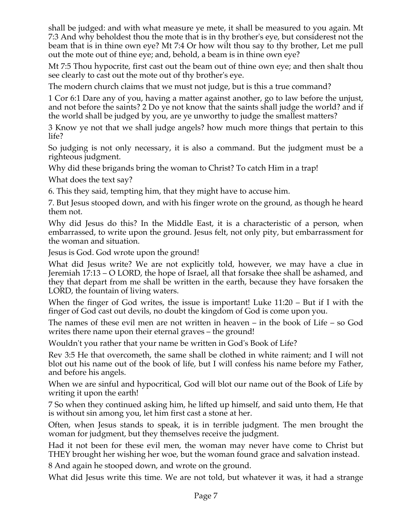shall be judged: and with what measure ye mete, it shall be measured to you again. Mt 7:3 And why beholdest thou the mote that is in thy brother's eye, but considerest not the beam that is in thine own eye? Mt 7:4 Or how wilt thou say to thy brother, Let me pull out the mote out of thine eye; and, behold, a beam is in thine own eye?

Mt 7:5 Thou hypocrite, first cast out the beam out of thine own eye; and then shalt thou see clearly to cast out the mote out of thy brother's eye.

The modern church claims that we must not judge, but is this a true command?

1 Cor 6:1 Dare any of you, having a matter against another, go to law before the unjust, and not before the saints? 2 Do ye not know that the saints shall judge the world? and if the world shall be judged by you, are ye unworthy to judge the smallest matters?

3 Know ye not that we shall judge angels? how much more things that pertain to this life?

So judging is not only necessary, it is also a command. But the judgment must be a righteous judgment.

Why did these brigands bring the woman to Christ? To catch Him in a trap!

What does the text say?

6. This they said, tempting him, that they might have to accuse him.

7. But Jesus stooped down, and with his finger wrote on the ground, as though he heard them not.

Why did Jesus do this? In the Middle East, it is a characteristic of a person, when embarrassed, to write upon the ground. Jesus felt, not only pity, but embarrassment for the woman and situation.

Jesus is God. God wrote upon the ground!

What did Jesus write? We are not explicitly told, however, we may have a clue in Jeremiah 17:13 – O LORD, the hope of Israel, all that forsake thee shall be ashamed, and they that depart from me shall be written in the earth, because they have forsaken the LORD, the fountain of living waters.

When the finger of God writes, the issue is important! Luke 11:20 – But if I with the finger of God cast out devils, no doubt the kingdom of God is come upon you.

The names of these evil men are not written in heaven – in the book of Life – so God writes there name upon their eternal graves – the ground!

Wouldn't you rather that your name be written in God's Book of Life?

Rev 3:5 He that overcometh, the same shall be clothed in white raiment; and I will not blot out his name out of the book of life, but I will confess his name before my Father, and before his angels.

When we are sinful and hypocritical, God will blot our name out of the Book of Life by writing it upon the earth!

7 So when they continued asking him, he lifted up himself, and said unto them, He that is without sin among you, let him first cast a stone at her.

Often, when Jesus stands to speak, it is in terrible judgment. The men brought the woman for judgment, but they themselves receive the judgment.

Had it not been for these evil men, the woman may never have come to Christ but THEY brought her wishing her woe, but the woman found grace and salvation instead.

8 And again he stooped down, and wrote on the ground.

What did Jesus write this time. We are not told, but whatever it was, it had a strange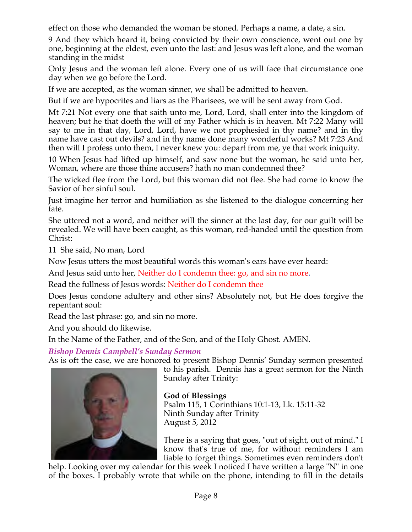effect on those who demanded the woman be stoned. Perhaps a name, a date, a sin.

9 And they which heard it, being convicted by their own conscience, went out one by one, beginning at the eldest, even unto the last: and Jesus was left alone, and the woman standing in the midst

Only Jesus and the woman left alone. Every one of us will face that circumstance one day when we go before the Lord.

If we are accepted, as the woman sinner, we shall be admitted to heaven.

But if we are hypocrites and liars as the Pharisees, we will be sent away from God.

Mt 7:21 Not every one that saith unto me, Lord, Lord, shall enter into the kingdom of heaven; but he that doeth the will of my Father which is in heaven. Mt 7:22 Many will say to me in that day, Lord, Lord, have we not prophesied in thy name? and in thy name have cast out devils? and in thy name done many wonderful works? Mt 7:23 And then will I profess unto them, I never knew you: depart from me, ye that work iniquity.

10 When Jesus had lifted up himself, and saw none but the woman, he said unto her, Woman, where are those thine accusers? hath no man condemned thee?

The wicked flee from the Lord, but this woman did not flee. She had come to know the Savior of her sinful soul.

Just imagine her terror and humiliation as she listened to the dialogue concerning her fate.

She uttered not a word, and neither will the sinner at the last day, for our guilt will be revealed. We will have been caught, as this woman, red-handed until the question from Christ:

11 She said, No man, Lord

Now Jesus utters the most beautiful words this woman's ears have ever heard:

And Jesus said unto her, Neither do I condemn thee: go, and sin no more.

Read the fullness of Jesus words: Neither do I condemn thee

Does Jesus condone adultery and other sins? Absolutely not, but He does forgive the repentant soul:

Read the last phrase: go, and sin no more.

And you should do likewise.

In the Name of the Father, and of the Son, and of the Holy Ghost. AMEN.

*Bishop Dennis Campbell's Sunday Sermon*

As is oft the case, we are honored to present Bishop Dennis' Sunday sermon presented



to his parish. Dennis has a great sermon for the Ninth Sunday after Trinity:

**God of Blessings**

Psalm 115, 1 Corinthians 10:1-13, Lk. 15:11-32 Ninth Sunday after Trinity August 5, 2012

There is a saying that goes, "out of sight, out of mind." I know that's true of me, for without reminders I am liable to forget things. Sometimes even reminders don't

help. Looking over my calendar for this week I noticed I have written a large "N" in one of the boxes. I probably wrote that while on the phone, intending to fill in the details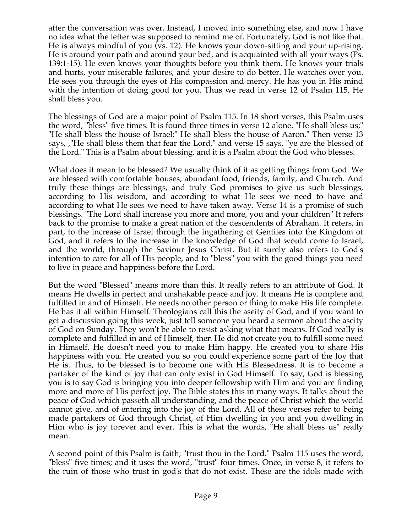after the conversation was over. Instead, I moved into something else, and now I have no idea what the letter was supposed to remind me of. Fortunately, God is not like that. He is always mindful of you (vs. 12). He knows your down-sitting and your up-rising. He is around your path and around your bed, and is acquainted with all your ways (Ps. 139:1-15). He even knows your thoughts before you think them. He knows your trials and hurts, your miserable failures, and your desire to do better. He watches over you. He sees you through the eyes of His compassion and mercy. He has you in His mind with the intention of doing good for you. Thus we read in verse 12 of Psalm 115, He shall bless you.

The blessings of God are a major point of Psalm 115. In 18 short verses, this Psalm uses the word, "bless" five times. It is found three times in verse 12 alone. "He shall bless us;" "He shall bless the house of Israel;" He shall bless the house of Aaron." Then verse 13 says, ,"He shall bless them that fear the Lord," and verse 15 says, "ye are the blessed of the Lord." This is a Psalm about blessing, and it is a Psalm about the God who blesses.

What does it mean to be blessed? We usually think of it as getting things from God. We are blessed with comfortable houses, abundant food, friends, family, and Church. And truly these things are blessings, and truly God promises to give us such blessings, according to His wisdom, and according to what He sees we need to have and according to what He sees we need to have taken away. Verse 14 is a promise of such blessings. "The Lord shall increase you more and more, you and your children" It refers back to the promise to make a great nation of the descendents of Abraham. It refers, in part, to the increase of Israel through the ingathering of Gentiles into the Kingdom of God, and it refers to the increase in the knowledge of God that would come to Israel, and the world, through the Saviour Jesus Christ. But it surely also refers to God's intention to care for all of His people, and to "bless" you with the good things you need to live in peace and happiness before the Lord.

But the word "Blessed" means more than this. It really refers to an attribute of God. It means He dwells in perfect and unshakable peace and joy. It means He is complete and fulfilled in and of Himself. He needs no other person or thing to make His life complete. He has it all within Himself. Theologians call this the aseity of God, and if you want to get a discussion going this week, just tell someone you heard a sermon about the aseity of God on Sunday. They won't be able to resist asking what that means. If God really is complete and fulfilled in and of Himself, then He did not create you to fulfill some need in Himself. He doesn't need you to make Him happy. He created you to share His happiness with you. He created you so you could experience some part of the Joy that He is. Thus, to be blessed is to become one with His Blessedness. It is to become a partaker of the kind of joy that can only exist in God Himself. To say, God is blessing you is to say God is bringing you into deeper fellowship with Him and you are finding more and more of His perfect joy. The Bible states this in many ways. It talks about the peace of God which passeth all understanding, and the peace of Christ which the world cannot give, and of entering into the joy of the Lord. All of these verses refer to being made partakers of God through Christ, of Him dwelling in you and you dwelling in Him who is joy forever and ever. This is what the words, "He shall bless us" really mean.

A second point of this Psalm is faith; "trust thou in the Lord." Psalm 115 uses the word, "bless" five times; and it uses the word, "trust" four times. Once, in verse 8, it refers to the ruin of those who trust in god's that do not exist. These are the idols made with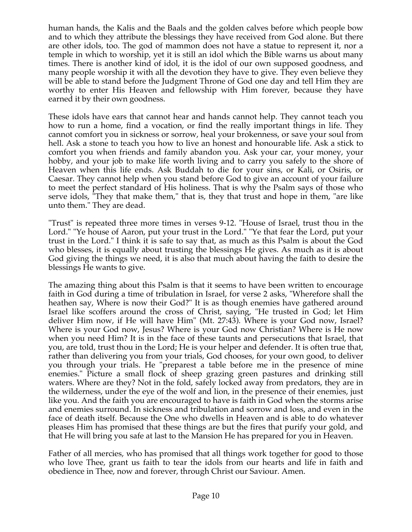human hands, the Kalis and the Baals and the golden calves before which people bow and to which they attribute the blessings they have received from God alone. But there are other idols, too. The god of mammon does not have a statue to represent it, nor a temple in which to worship, yet it is still an idol which the Bible warns us about many times. There is another kind of idol, it is the idol of our own supposed goodness, and many people worship it with all the devotion they have to give. They even believe they will be able to stand before the Judgment Throne of God one day and tell Him they are worthy to enter His Heaven and fellowship with Him forever, because they have earned it by their own goodness.

These idols have ears that cannot hear and hands cannot help. They cannot teach you how to run a home, find a vocation, or find the really important things in life. They cannot comfort you in sickness or sorrow, heal your brokenness, or save your soul from hell. Ask a stone to teach you how to live an honest and honourable life. Ask a stick to comfort you when friends and family abandon you. Ask your car, your money, your hobby, and your job to make life worth living and to carry you safely to the shore of Heaven when this life ends. Ask Buddah to die for your sins, or Kali, or Osiris, or Caesar. They cannot help when you stand before God to give an account of your failure to meet the perfect standard of His holiness. That is why the Psalm says of those who serve idols, "They that make them," that is, they that trust and hope in them, "are like unto them." They are dead.

"Trust" is repeated three more times in verses 9-12. "House of Israel, trust thou in the Lord." "Ye house of Aaron, put your trust in the Lord." "Ye that fear the Lord, put your trust in the Lord." I think it is safe to say that, as much as this Psalm is about the God who blesses, it is equally about trusting the blessings He gives. As much as it is about God giving the things we need, it is also that much about having the faith to desire the blessings He wants to give.

The amazing thing about this Psalm is that it seems to have been written to encourage faith in God during a time of tribulation in Israel, for verse 2 asks, "Wherefore shall the heathen say, Where is now their God?" It is as though enemies have gathered around Israel like scoffers around the cross of Christ, saying, "He trusted in God; let Him deliver Him now, if He will have Him" (Mt. 27:43). Where is your God now, Israel? Where is your God now, Jesus? Where is your God now Christian? Where is He now when you need Him? It is in the face of these taunts and persecutions that Israel, that you, are told, trust thou in the Lord; He is your helper and defender. It is often true that, rather than delivering you from your trials, God chooses, for your own good, to deliver you through your trials. He "preparest a table before me in the presence of mine enemies." Picture a small flock of sheep grazing green pastures and drinking still waters. Where are they? Not in the fold, safely locked away from predators, they are in the wilderness, under the eye of the wolf and lion, in the presence of their enemies, just like you. And the faith you are encouraged to have is faith in God when the storms arise and enemies surround. In sickness and tribulation and sorrow and loss, and even in the face of death itself. Because the One who dwells in Heaven and is able to do whatever pleases Him has promised that these things are but the fires that purify your gold, and that He will bring you safe at last to the Mansion He has prepared for you in Heaven.

Father of all mercies, who has promised that all things work together for good to those who love Thee, grant us faith to tear the idols from our hearts and life in faith and obedience in Thee, now and forever, through Christ our Saviour. Amen.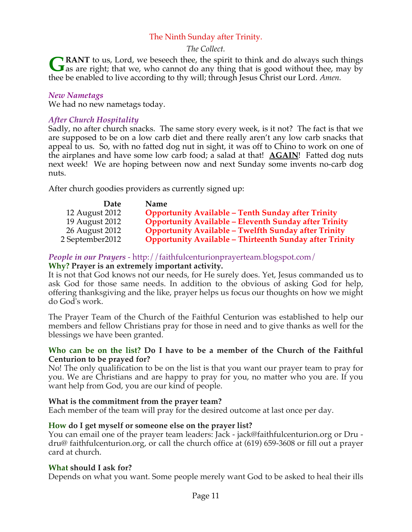# The Ninth Sunday after Trinity.

### *The Collect.*

**RANT** to us, Lord, we beseech thee, the spirit to think and do always such things **GRANT** to us, Lord, we beseech thee, the spirit to think and do always such things as are right; that we, who cannot do any thing that is good without thee, may by thee be enabled to live according to thy will; through Jesus Christ our Lord. *Amen.*

#### *New Nametags*

We had no new nametags today.

### *After Church Hospitality*

Sadly, no after church snacks. The same story every week, is it not? The fact is that we are supposed to be on a low carb diet and there really aren't any low carb snacks that appeal to us. So, with no fatted dog nut in sight, it was off to Chino to work on one of the airplanes and have some low carb food; a salad at that! **AGAIN**! Fatted dog nuts next week! We are hoping between now and next Sunday some invents no-carb dog nuts.

After church goodies providers as currently signed up:

| <b>Date</b>     | <b>Name</b>                                                    |
|-----------------|----------------------------------------------------------------|
| 12 August 2012  | <b>Opportunity Available - Tenth Sunday after Trinity</b>      |
| 19 August 2012  | <b>Opportunity Available - Eleventh Sunday after Trinity</b>   |
| 26 August 2012  | <b>Opportunity Available - Twelfth Sunday after Trinity</b>    |
| 2 September2012 | <b>Opportunity Available - Thirteenth Sunday after Trinity</b> |

# *People in our Prayers* - http://faithfulcenturionprayerteam.blogspot.com/

### **Why? Prayer is an extremely important activity.**

It is not that God knows not our needs, for He surely does. Yet, Jesus commanded us to ask God for those same needs. In addition to the obvious of asking God for help, offering thanksgiving and the like, prayer helps us focus our thoughts on how we might do God's work.

The Prayer Team of the Church of the Faithful Centurion was established to help our members and fellow Christians pray for those in need and to give thanks as well for the blessings we have been granted.

#### **Who can be on the list? Do I have to be a member of the Church of the Faithful Centurion to be prayed for?**

No! The only qualification to be on the list is that you want our prayer team to pray for you. We are Christians and are happy to pray for you, no matter who you are. If you want help from God, you are our kind of people.

### **What is the commitment from the prayer team?**

Each member of the team will pray for the desired outcome at last once per day.

### **How do I get myself or someone else on the prayer list?**

You can email one of the prayer team leaders: Jack - jack@faithfulcenturion.org or Dru dru@ faithfulcenturion.org, or call the church office at (619) 659-3608 or fill out a prayer card at church.

#### **What should I ask for?**

Depends on what you want. Some people merely want God to be asked to heal their ills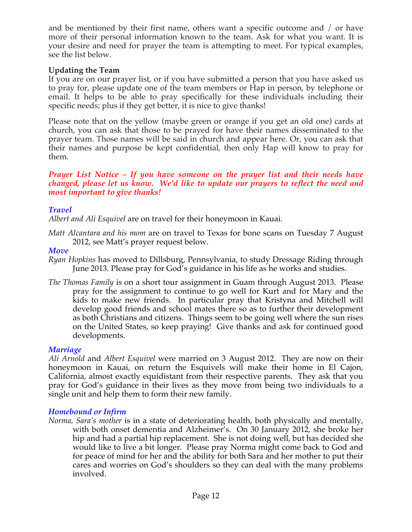and be mentioned by their first name, others want a specific outcome and / or have more of their personal information known to the team. Ask for what you want. It is your desire and need for prayer the team is attempting to meet. For typical examples, see the list below.

# **Updating the Team**

If you are on our prayer list, or if you have submitted a person that you have asked us to pray for, please update one of the team members or Hap in person, by telephone or email. It helps to be able to pray specifically for these individuals including their specific needs; plus if they get better, it is nice to give thanks!

Please note that on the yellow (maybe green or orange if you get an old one) cards at church, you can ask that those to be prayed for have their names disseminated to the prayer team. Those names will be said in church and appear here. Or, you can ask that their names and purpose be kept confidential, then only Hap will know to pray for them.

#### *Prayer List Notice – If you have someone on the prayer list and their needs have changed, please let us know. We'd like to update our prayers to reflect the need and most important to give thanks!*

# *Travel*

*Albert and Ali Esquivel* are on travel for their honeymoon in Kauai.

*Matt Alcantara and his mom* are on travel to Texas for bone scans on Tuesday 7 August 2012, see Matt's prayer request below.

### *Move*

- *Ryan Hopkins* has moved to Dillsburg, Pennsylvania, to study Dressage Riding through June 2013. Please pray for God's guidance in his life as he works and studies.
- *The Thomas Family* is on a short tour assignment in Guam through August 2013. Please pray for the assignment to continue to go well for Kurt and for Mary and the kids to make new friends. In particular pray that Kristyna and Mitchell will develop good friends and school mates there so as to further their development as both Christians and citizens. Things seem to be going well where the sun rises on the United States, so keep praying! Give thanks and ask for continued good developments.

# *Marriage*

*Ali Arnold* and *Albert Esquivel* were married on 3 August 2012. They are now on their honeymoon in Kauai, on return the Esquivels will make their home in El Cajon, California, almost exactly equidistant from their respective parents. They ask that you pray for God's guidance in their lives as they move from being two individuals to a single unit and help them to form their new family.

### *Homebound or Infirm*

*Norma, Sara's mother* is in a state of deteriorating health, both physically and mentally, with both onset dementia and Alzheimer's. On 30 January 2012, she broke her hip and had a partial hip replacement. She is not doing well, but has decided she would like to live a bit longer. Please pray Norma might come back to God and for peace of mind for her and the ability for both Sara and her mother to put their cares and worries on God's shoulders so they can deal with the many problems involved.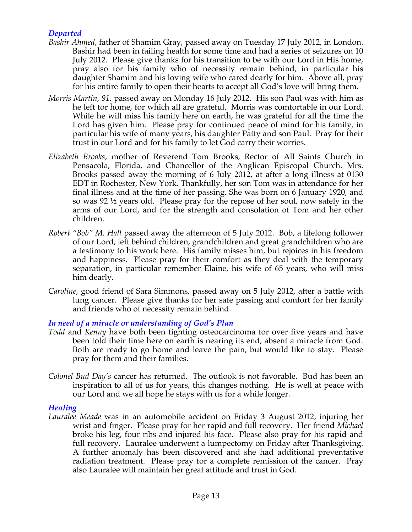# *Departed*

- *Bashir Ahmed*, father of Shamim Gray, passed away on Tuesday 17 July 2012, in London. Bashir had been in failing health for some time and had a series of seizures on 10 July 2012. Please give thanks for his transition to be with our Lord in His home, pray also for his family who of necessity remain behind, in particular his daughter Shamim and his loving wife who cared dearly for him. Above all, pray for his entire family to open their hearts to accept all God's love will bring them.
- *Morris Martin, 91,* passed away on Monday 16 July 2012. His son Paul was with him as he left for home, for which all are grateful. Morris was comfortable in our Lord. While he will miss his family here on earth, he was grateful for all the time the Lord has given him. Please pray for continued peace of mind for his family, in particular his wife of many years, his daughter Patty and son Paul. Pray for their trust in our Lord and for his family to let God carry their worries.
- *Elizabeth Brooks*, mother of Reverend Tom Brooks, Rector of All Saints Church in Pensacola, Florida, and Chancellor of the Anglican Episcopal Church. Mrs. Brooks passed away the morning of 6 July 2012, at after a long illness at 0130 EDT in Rochester, New York. Thankfully, her son Tom was in attendance for her final illness and at the time of her passing. She was born on 6 January 1920, and so was 92 ½ years old. Please pray for the repose of her soul, now safely in the arms of our Lord, and for the strength and consolation of Tom and her other children.
- *Robert "Bob" M. Hall* passed away the afternoon of 5 July 2012. Bob, a lifelong follower of our Lord, left behind children, grandchildren and great grandchildren who are a testimony to his work here. His family misses him, but rejoices in his freedom and happiness. Please pray for their comfort as they deal with the temporary separation, in particular remember Elaine, his wife of 65 years, who will miss him dearly.
- *Caroline*, good friend of Sara Simmons, passed away on 5 July 2012, after a battle with lung cancer. Please give thanks for her safe passing and comfort for her family and friends who of necessity remain behind.

# *In need of a miracle or understanding of God's Plan*

- *Todd* and *Kenny* have both been fighting osteocarcinoma for over five years and have been told their time here on earth is nearing its end, absent a miracle from God. Both are ready to go home and leave the pain, but would like to stay. Please pray for them and their families.
- *Colonel Bud Day's* cancer has returned. The outlook is not favorable. Bud has been an inspiration to all of us for years, this changes nothing. He is well at peace with our Lord and we all hope he stays with us for a while longer.

# *Healing*

*Lauralee Meade* was in an automobile accident on Friday 3 August 2012, injuring her wrist and finger. Please pray for her rapid and full recovery. Her friend *Michael* broke his leg, four ribs and injured his face. Please also pray for his rapid and full recovery. Lauralee underwent a lumpectomy on Friday after Thanksgiving. A further anomaly has been discovered and she had additional preventative radiation treatment. Please pray for a complete remission of the cancer. Pray also Lauralee will maintain her great attitude and trust in God.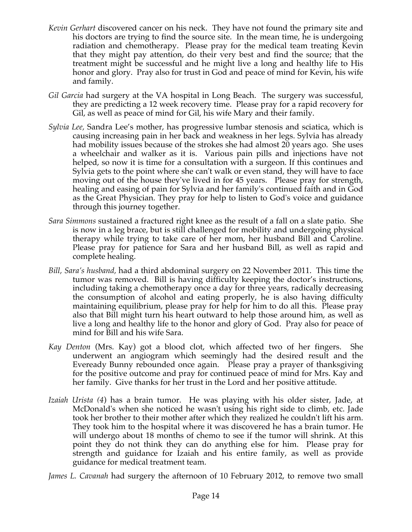- *Kevin Gerhart* discovered cancer on his neck. They have not found the primary site and his doctors are trying to find the source site. In the mean time, he is undergoing radiation and chemotherapy. Please pray for the medical team treating Kevin that they might pay attention, do their very best and find the source; that the treatment might be successful and he might live a long and healthy life to His honor and glory. Pray also for trust in God and peace of mind for Kevin, his wife and family.
- *Gil Garcia* had surgery at the VA hospital in Long Beach. The surgery was successful, they are predicting a 12 week recovery time. Please pray for a rapid recovery for Gil, as well as peace of mind for Gil, his wife Mary and their family.
- *Sylvia Lee,* Sandra Lee's mother, has progressive lumbar stenosis and sciatica, which is causing increasing pain in her back and weakness in her legs. Sylvia has already had mobility issues because of the strokes she had almost 20 years ago. She uses a wheelchair and walker as it is. Various pain pills and injections have not helped, so now it is time for a consultation with a surgeon. If this continues and Sylvia gets to the point where she can't walk or even stand, they will have to face moving out of the house they've lived in for 45 years. Please pray for strength, healing and easing of pain for Sylvia and her family's continued faith and in God as the Great Physician. They pray for help to listen to God's voice and guidance through this journey together.
- *Sara Simmons* sustained a fractured right knee as the result of a fall on a slate patio. She is now in a leg brace, but is still challenged for mobility and undergoing physical therapy while trying to take care of her mom, her husband Bill and Caroline. Please pray for patience for Sara and her husband Bill, as well as rapid and complete healing.
- *Bill, Sara's husband,* had a third abdominal surgery on 22 November 2011. This time the tumor was removed. Bill is having difficulty keeping the doctor's instructions, including taking a chemotherapy once a day for three years, radically decreasing the consumption of alcohol and eating properly, he is also having difficulty maintaining equilibrium, please pray for help for him to do all this. Please pray also that Bill might turn his heart outward to help those around him, as well as live a long and healthy life to the honor and glory of God. Pray also for peace of mind for Bill and his wife Sara.
- *Kay Denton* (Mrs. Kay) got a blood clot, which affected two of her fingers. She underwent an angiogram which seemingly had the desired result and the Eveready Bunny rebounded once again. Please pray a prayer of thanksgiving for the positive outcome and pray for continued peace of mind for Mrs. Kay and her family. Give thanks for her trust in the Lord and her positive attitude.
- *Izaiah Urista (4*) has a brain tumor. He was playing with his older sister, Jade, at McDonald's when she noticed he wasn't using his right side to climb, etc. Jade took her brother to their mother after which they realized he couldn't lift his arm. They took him to the hospital where it was discovered he has a brain tumor. He will undergo about 18 months of chemo to see if the tumor will shrink. At this point they do not think they can do anything else for him. Please pray for strength and guidance for Izaiah and his entire family, as well as provide guidance for medical treatment team.
- *James L. Cavanah* had surgery the afternoon of 10 February 2012, to remove two small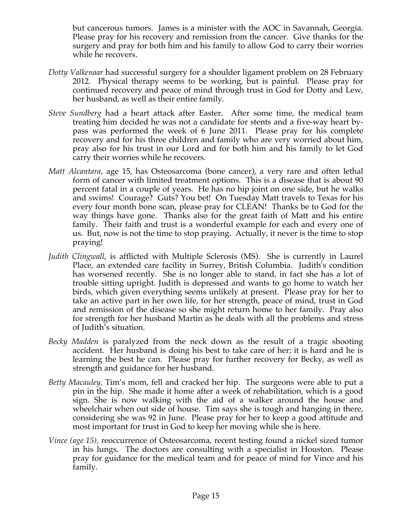but cancerous tumors. James is a minister with the AOC in Savannah, Georgia. Please pray for his recovery and remission from the cancer. Give thanks for the surgery and pray for both him and his family to allow God to carry their worries while he recovers.

- *Dotty Valkenaar* had successful surgery for a shoulder ligament problem on 28 February 2012. Physical therapy seems to be working, but is painful. Please pray for continued recovery and peace of mind through trust in God for Dotty and Lew, her husband, as well as their entire family.
- *Steve Sundberg* had a heart attack after Easter. After some time, the medical team treating him decided he was not a candidate for stents and a five-way heart bypass was performed the week of 6 June 2011. Please pray for his complete recovery and for his three children and family who are very worried about him, pray also for his trust in our Lord and for both him and his family to let God carry their worries while he recovers.
- *Matt Alcantara*, age 15, has Osteosarcoma (bone cancer), a very rare and often lethal form of cancer with limited treatment options. This is a disease that is about 90 percent fatal in a couple of years. He has no hip joint on one side, but he walks and swims! Courage? Guts? You bet! On Tuesday Matt travels to Texas for his every four month bone scan, please pray for CLEAN! Thanks be to God for the way things have gone. Thanks also for the great faith of Matt and his entire family. Their faith and trust is a wonderful example for each and every one of us. But, now is not the time to stop praying. Actually, it never is the time to stop praying!
- *Judith Clingwall*, is afflicted with Multiple Sclerosis (MS). She is currently in Laurel Place, an extended care facility in Surrey, British Columbia. Judith's condition has worsened recently. She is no longer able to stand, in fact she has a lot of trouble sitting upright. Judith is depressed and wants to go home to watch her birds, which given everything seems unlikely at present. Please pray for her to take an active part in her own life, for her strength, peace of mind, trust in God and remission of the disease so she might return home to her family. Pray also for strength for her husband Martin as he deals with all the problems and stress of Judith's situation.
- *Becky Madden* is paralyzed from the neck down as the result of a tragic shooting accident. Her husband is doing his best to take care of her; it is hard and he is learning the best he can. Please pray for further recovery for Becky, as well as strength and guidance for her husband.
- *Betty Macauley,* Tim's mom, fell and cracked her hip. The surgeons were able to put a pin in the hip. She made it home after a week of rehabilitation, which is a good sign. She is now walking with the aid of a walker around the house and wheelchair when out side of house. Tim says she is tough and hanging in there, considering she was 92 in June. Please pray for her to keep a good attitude and most important for trust in God to keep her moving while she is here.
- *Vince (age 15),* reoccurrence of Osteosarcoma, recent testing found a nickel sized tumor in his lungs. The doctors are consulting with a specialist in Houston. Please pray for guidance for the medical team and for peace of mind for Vince and his family.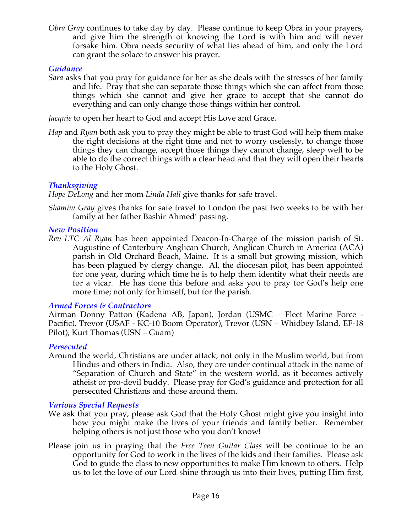*Obra Gray* continues to take day by day. Please continue to keep Obra in your prayers, and give him the strength of knowing the Lord is with him and will never forsake him. Obra needs security of what lies ahead of him, and only the Lord can grant the solace to answer his prayer.

### *Guidance*

*Sara* asks that you pray for guidance for her as she deals with the stresses of her family and life. Pray that she can separate those things which she can affect from those things which she cannot and give her grace to accept that she cannot do everything and can only change those things within her control.

*Jacquie* to open her heart to God and accept His Love and Grace.

*Hap* and *Ryan* both ask you to pray they might be able to trust God will help them make the right decisions at the right time and not to worry uselessly, to change those things they can change, accept those things they cannot change, sleep well to be able to do the correct things with a clear head and that they will open their hearts to the Holy Ghost.

# *Thanksgiving*

*Hope DeLong* and her mom *Linda Hall* give thanks for safe travel.

*Shamim Gray* gives thanks for safe travel to London the past two weeks to be with her family at her father Bashir Ahmed' passing.

# *New Position*

*Rev LTC Al Ryan* has been appointed Deacon-In-Charge of the mission parish of St. Augustine of Canterbury Anglican Church, Anglican Church in America (ACA) parish in Old Orchard Beach, Maine. It is a small but growing mission, which has been plagued by clergy change. Al, the diocesan pilot, has been appointed for one year, during which time he is to help them identify what their needs are for a vicar. He has done this before and asks you to pray for God's help one more time; not only for himself, but for the parish.

# *Armed Forces & Contractors*

Airman Donny Patton (Kadena AB, Japan), Jordan (USMC – Fleet Marine Force - Pacific), Trevor (USAF - KC-10 Boom Operator), Trevor (USN – Whidbey Island, EF-18 Pilot), Kurt Thomas (USN – Guam)

# *Persecuted*

Around the world, Christians are under attack, not only in the Muslim world, but from Hindus and others in India. Also, they are under continual attack in the name of "Separation of Church and State" in the western world, as it becomes actively atheist or pro-devil buddy. Please pray for God's guidance and protection for all persecuted Christians and those around them.

# *Various Special Requests*

- We ask that you pray, please ask God that the Holy Ghost might give you insight into how you might make the lives of your friends and family better. Remember helping others is not just those who you don't know!
- Please join us in praying that the *Free Teen Guitar Class* will be continue to be an opportunity for God to work in the lives of the kids and their families. Please ask God to guide the class to new opportunities to make Him known to others. Help us to let the love of our Lord shine through us into their lives, putting Him first,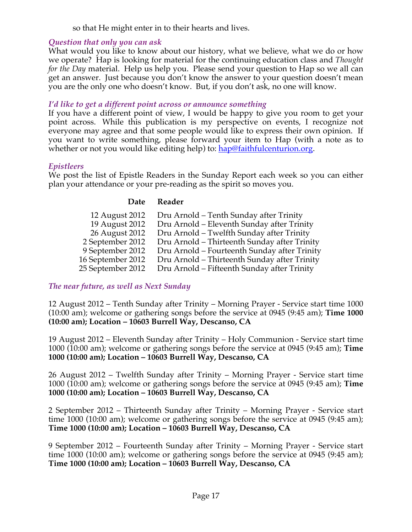so that He might enter in to their hearts and lives.

# *Question that only you can ask*

What would you like to know about our history, what we believe, what we do or how we operate? Hap is looking for material for the continuing education class and *Thought for the Day* material. Help us help you. Please send your question to Hap so we all can get an answer. Just because you don't know the answer to your question doesn't mean you are the only one who doesn't know. But, if you don't ask, no one will know.

### *I'd like to get a different point across or announce something*

If you have a different point of view, I would be happy to give you room to get your point across. While this publication is my perspective on events, I recognize not everyone may agree and that some people would like to express their own opinion. If you want to write something, please forward your item to Hap (with a note as to whether or not you would like editing help) to: hap@faithfulcenturion.org.

# *Epistleers*

We post the list of Epistle Readers in the Sunday Report each week so you can either plan your attendance or your pre-reading as the spirit so moves you.

# **Date Reader**

| 12 August 2012    | Dru Arnold – Tenth Sunday after Trinity      |
|-------------------|----------------------------------------------|
| 19 August 2012    | Dru Arnold - Eleventh Sunday after Trinity   |
| 26 August 2012    | Dru Arnold – Twelfth Sunday after Trinity    |
| 2 September 2012  | Dru Arnold - Thirteenth Sunday after Trinity |
| 9 September 2012  | Dru Arnold - Fourteenth Sunday after Trinity |
| 16 September 2012 | Dru Arnold – Thirteenth Sunday after Trinity |
| 25 September 2012 | Dru Arnold – Fifteenth Sunday after Trinity  |
|                   |                                              |

# *The near future, as well as Next Sunday*

12 August 2012 – Tenth Sunday after Trinity – Morning Prayer - Service start time 1000 (10:00 am); welcome or gathering songs before the service at 0945 (9:45 am); **Time 1000 (10:00 am); Location – 10603 Burrell Way, Descanso, CA**

19 August 2012 – Eleventh Sunday after Trinity – Holy Communion - Service start time 1000 (10:00 am); welcome or gathering songs before the service at 0945 (9:45 am); **Time 1000 (10:00 am); Location – 10603 Burrell Way, Descanso, CA**

26 August 2012 – Twelfth Sunday after Trinity – Morning Prayer - Service start time 1000 (10:00 am); welcome or gathering songs before the service at 0945 (9:45 am); **Time 1000 (10:00 am); Location – 10603 Burrell Way, Descanso, CA**

2 September 2012 – Thirteenth Sunday after Trinity – Morning Prayer - Service start time 1000 (10:00 am); welcome or gathering songs before the service at 0945 (9:45 am); **Time 1000 (10:00 am); Location – 10603 Burrell Way, Descanso, CA**

9 September 2012 – Fourteenth Sunday after Trinity – Morning Prayer - Service start time 1000 (10:00 am); welcome or gathering songs before the service at 0945 (9:45 am); **Time 1000 (10:00 am); Location – 10603 Burrell Way, Descanso, CA**